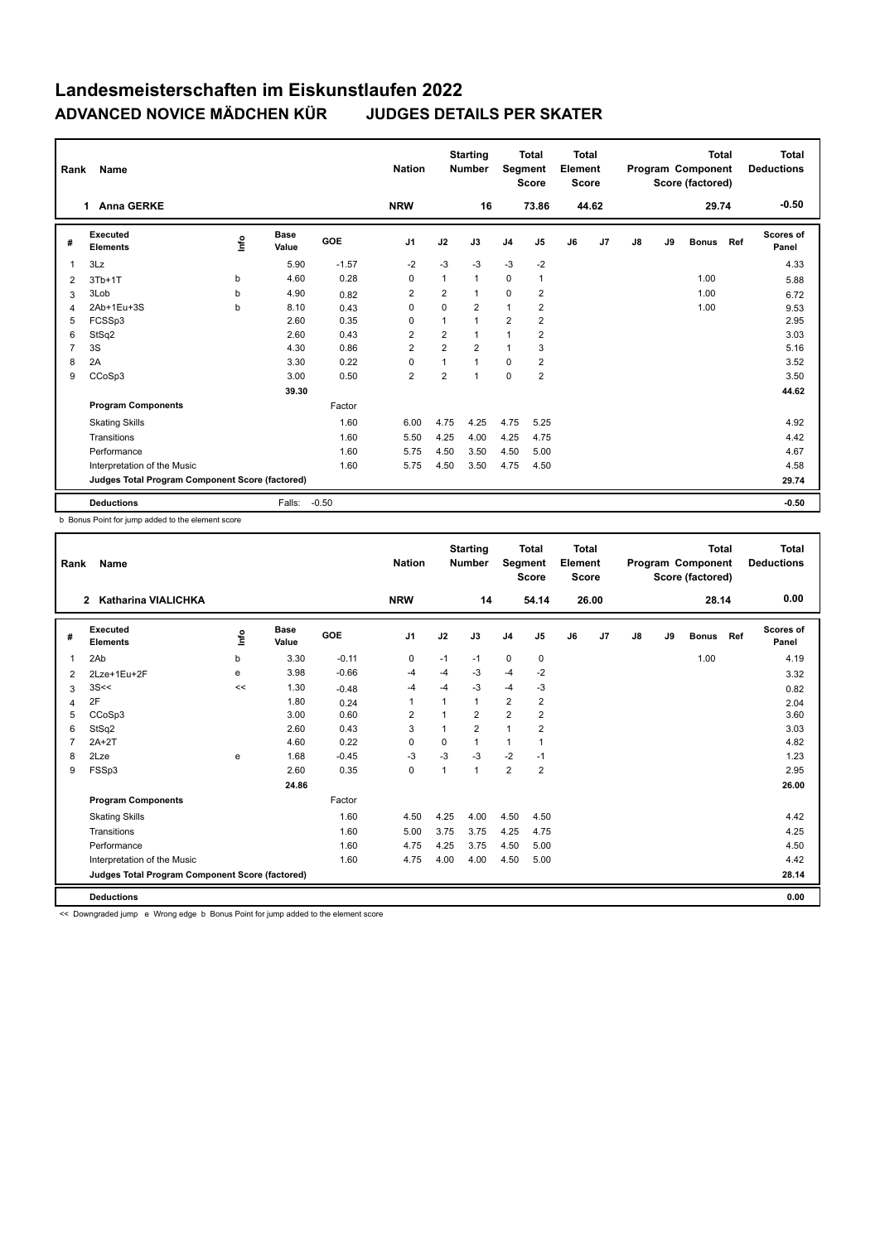| Rank           | Name                                            |      |                      |            | <b>Nation</b>  |                | <b>Starting</b><br><b>Number</b> | Segment        | <b>Total</b><br><b>Score</b> | Total<br>Element<br><b>Score</b> |       |    |    | <b>Total</b><br>Program Component<br>Score (factored) |     | Total<br><b>Deductions</b> |
|----------------|-------------------------------------------------|------|----------------------|------------|----------------|----------------|----------------------------------|----------------|------------------------------|----------------------------------|-------|----|----|-------------------------------------------------------|-----|----------------------------|
|                | <b>Anna GERKE</b><br>1                          |      |                      |            | <b>NRW</b>     |                | 16                               |                | 73.86                        |                                  | 44.62 |    |    | 29.74                                                 |     | $-0.50$                    |
| #              | <b>Executed</b><br><b>Elements</b>              | lnfo | <b>Base</b><br>Value | <b>GOE</b> | J <sub>1</sub> | J2             | J3                               | J <sub>4</sub> | J <sub>5</sub>               | J6                               | J7    | J8 | J9 | <b>Bonus</b>                                          | Ref | Scores of<br>Panel         |
| 1              | 3Lz                                             |      | 5.90                 | $-1.57$    | $-2$           | $-3$           | $-3$                             | $-3$           | $-2$                         |                                  |       |    |    |                                                       |     | 4.33                       |
| 2              | $3Tb+1T$                                        | b    | 4.60                 | 0.28       | 0              | 1              | $\mathbf{1}$                     | $\mathbf 0$    | $\mathbf{1}$                 |                                  |       |    |    | 1.00                                                  |     | 5.88                       |
| 3              | 3Lob                                            | b    | 4.90                 | 0.82       | $\overline{2}$ | $\overline{2}$ | $\mathbf{1}$                     | $\Omega$       | $\overline{2}$               |                                  |       |    |    | 1.00                                                  |     | 6.72                       |
| 4              | 2Ab+1Eu+3S                                      | b    | 8.10                 | 0.43       | 0              | $\mathbf 0$    | $\overline{2}$                   | $\mathbf{1}$   | $\overline{2}$               |                                  |       |    |    | 1.00                                                  |     | 9.53                       |
| 5              | FCSSp3                                          |      | 2.60                 | 0.35       | 0              | 1              | $\mathbf{1}$                     | $\overline{2}$ | $\overline{2}$               |                                  |       |    |    |                                                       |     | 2.95                       |
| 6              | StSq2                                           |      | 2.60                 | 0.43       | $\overline{2}$ | $\overline{2}$ | $\mathbf{1}$                     | 1              | $\overline{2}$               |                                  |       |    |    |                                                       |     | 3.03                       |
| $\overline{7}$ | 3S                                              |      | 4.30                 | 0.86       | $\overline{2}$ | $\overline{2}$ | $\overline{2}$                   | $\mathbf{1}$   | 3                            |                                  |       |    |    |                                                       |     | 5.16                       |
| 8              | 2A                                              |      | 3.30                 | 0.22       | $\Omega$       | 1              | $\mathbf{1}$                     | $\Omega$       | $\overline{2}$               |                                  |       |    |    |                                                       |     | 3.52                       |
| 9              | CCoSp3                                          |      | 3.00                 | 0.50       | $\overline{2}$ | $\overline{2}$ | $\mathbf 1$                      | $\mathbf 0$    | $\overline{2}$               |                                  |       |    |    |                                                       |     | 3.50                       |
|                |                                                 |      | 39.30                |            |                |                |                                  |                |                              |                                  |       |    |    |                                                       |     | 44.62                      |
|                | <b>Program Components</b>                       |      |                      | Factor     |                |                |                                  |                |                              |                                  |       |    |    |                                                       |     |                            |
|                | <b>Skating Skills</b>                           |      |                      | 1.60       | 6.00           | 4.75           | 4.25                             | 4.75           | 5.25                         |                                  |       |    |    |                                                       |     | 4.92                       |
|                | Transitions                                     |      |                      | 1.60       | 5.50           | 4.25           | 4.00                             | 4.25           | 4.75                         |                                  |       |    |    |                                                       |     | 4.42                       |
|                | Performance                                     |      |                      | 1.60       | 5.75           | 4.50           | 3.50                             | 4.50           | 5.00                         |                                  |       |    |    |                                                       |     | 4.67                       |
|                | Interpretation of the Music                     |      |                      | 1.60       | 5.75           | 4.50           | 3.50                             | 4.75           | 4.50                         |                                  |       |    |    |                                                       |     | 4.58                       |
|                | Judges Total Program Component Score (factored) |      |                      |            |                |                |                                  |                |                              |                                  |       |    |    |                                                       |     | 29.74                      |
|                | <b>Deductions</b>                               |      | Falls:               | $-0.50$    |                |                |                                  |                |                              |                                  |       |    |    |                                                       |     | $-0.50$                    |

b Bonus Point for jump added to the element score

| Rank           | Name                                            |      |                      |         | <b>Nation</b>  |                | <b>Starting</b><br><b>Number</b> | Segment        | <b>Total</b><br><b>Score</b> | <b>Total</b><br>Element<br>Score |                |               |    | <b>Total</b><br>Program Component<br>Score (factored) |     | <b>Total</b><br><b>Deductions</b> |
|----------------|-------------------------------------------------|------|----------------------|---------|----------------|----------------|----------------------------------|----------------|------------------------------|----------------------------------|----------------|---------------|----|-------------------------------------------------------|-----|-----------------------------------|
|                | Katharina VIALICHKA<br>$\mathbf{2}$             |      |                      |         | <b>NRW</b>     |                | 14                               |                | 54.14                        |                                  | 26.00          |               |    | 28.14                                                 |     | 0.00                              |
| #              | Executed<br><b>Elements</b>                     | ١nto | <b>Base</b><br>Value | GOE     | J <sub>1</sub> | J2             | J3                               | J <sub>4</sub> | J5                           | J6                               | J <sub>7</sub> | $\mathsf{J}8$ | J9 | <b>Bonus</b>                                          | Ref | <b>Scores of</b><br>Panel         |
| $\overline{1}$ | 2Ab                                             | b    | 3.30                 | $-0.11$ | $\mathbf 0$    | $-1$           | $-1$                             | $\mathbf 0$    | 0                            |                                  |                |               |    | 1.00                                                  |     | 4.19                              |
| 2              | 2Lze+1Eu+2F                                     | e    | 3.98                 | $-0.66$ | -4             | -4             | $-3$                             | $-4$           | -2                           |                                  |                |               |    |                                                       |     | 3.32                              |
| 3              | 3S<<                                            | <<   | 1.30                 | $-0.48$ | $-4$           | $-4$           | $-3$                             | $-4$           | -3                           |                                  |                |               |    |                                                       |     | 0.82                              |
| 4              | 2F                                              |      | 1.80                 | 0.24    | $\overline{1}$ | 1              | 1                                | $\overline{2}$ | $\overline{2}$               |                                  |                |               |    |                                                       |     | 2.04                              |
| 5              | CCoSp3                                          |      | 3.00                 | 0.60    | $\overline{2}$ | $\overline{1}$ | $\overline{2}$                   | $\overline{2}$ | $\overline{2}$               |                                  |                |               |    |                                                       |     | 3.60                              |
| 6              | StSq2                                           |      | 2.60                 | 0.43    | 3              | $\mathbf{1}$   | $\overline{2}$                   | $\mathbf{1}$   | 2                            |                                  |                |               |    |                                                       |     | 3.03                              |
| 7              | $2A+2T$                                         |      | 4.60                 | 0.22    | 0              | 0              | 1                                | $\overline{1}$ | 1                            |                                  |                |               |    |                                                       |     | 4.82                              |
| 8              | 2Lze                                            | e    | 1.68                 | $-0.45$ | $-3$           | $-3$           | $-3$                             | $-2$           | $-1$                         |                                  |                |               |    |                                                       |     | 1.23                              |
| 9              | FSSp3                                           |      | 2.60                 | 0.35    | 0              | 1              | 1                                | $\overline{2}$ | $\overline{2}$               |                                  |                |               |    |                                                       |     | 2.95                              |
|                |                                                 |      | 24.86                |         |                |                |                                  |                |                              |                                  |                |               |    |                                                       |     | 26.00                             |
|                | <b>Program Components</b>                       |      |                      | Factor  |                |                |                                  |                |                              |                                  |                |               |    |                                                       |     |                                   |
|                | <b>Skating Skills</b>                           |      |                      | 1.60    | 4.50           | 4.25           | 4.00                             | 4.50           | 4.50                         |                                  |                |               |    |                                                       |     | 4.42                              |
|                | Transitions                                     |      |                      | 1.60    | 5.00           | 3.75           | 3.75                             | 4.25           | 4.75                         |                                  |                |               |    |                                                       |     | 4.25                              |
|                | Performance                                     |      |                      | 1.60    | 4.75           | 4.25           | 3.75                             | 4.50           | 5.00                         |                                  |                |               |    |                                                       |     | 4.50                              |
|                | Interpretation of the Music                     |      |                      | 1.60    | 4.75           | 4.00           | 4.00                             | 4.50           | 5.00                         |                                  |                |               |    |                                                       |     | 4.42                              |
|                | Judges Total Program Component Score (factored) |      |                      |         |                |                |                                  |                |                              |                                  |                |               |    |                                                       |     | 28.14                             |
|                | <b>Deductions</b>                               |      |                      |         |                |                |                                  |                |                              |                                  |                |               |    |                                                       |     | 0.00                              |

<< Downgraded jump e Wrong edge b Bonus Point for jump added to the element score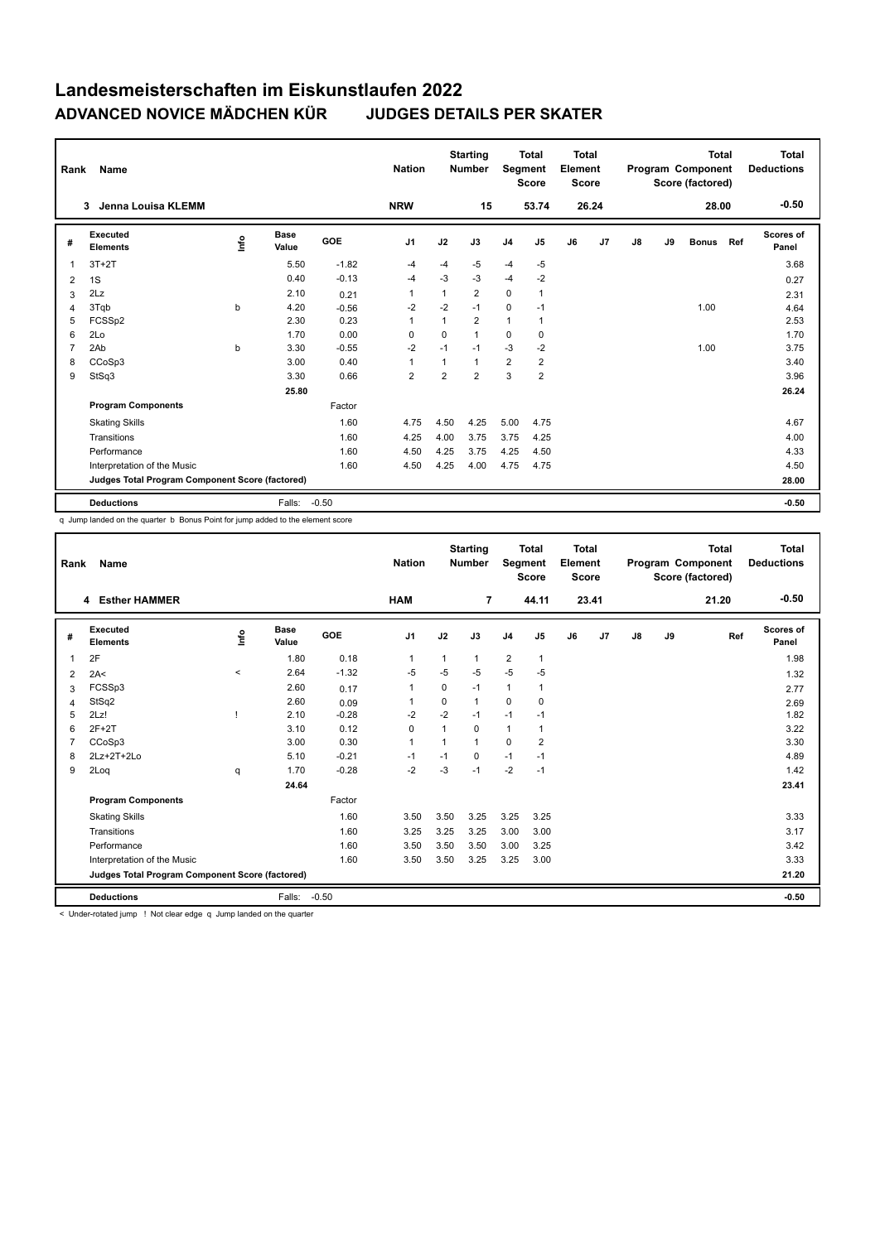| Rank           | Name                                            |      |                      |         | <b>Nation</b>  |                | <b>Starting</b><br><b>Number</b> | Segment        | <b>Total</b><br><b>Score</b> | Total<br>Element<br><b>Score</b> |                |    |    | <b>Total</b><br>Program Component<br>Score (factored) |     | <b>Total</b><br><b>Deductions</b> |
|----------------|-------------------------------------------------|------|----------------------|---------|----------------|----------------|----------------------------------|----------------|------------------------------|----------------------------------|----------------|----|----|-------------------------------------------------------|-----|-----------------------------------|
|                | Jenna Louisa KLEMM<br>3                         |      |                      |         | <b>NRW</b>     |                | 15                               |                | 53.74                        |                                  | 26.24          |    |    | 28.00                                                 |     | $-0.50$                           |
| #              | Executed<br><b>Elements</b>                     | lnfo | <b>Base</b><br>Value | GOE     | J <sub>1</sub> | J2             | J3                               | J <sub>4</sub> | J <sub>5</sub>               | J6                               | J <sub>7</sub> | J8 | J9 | <b>Bonus</b>                                          | Ref | <b>Scores of</b><br>Panel         |
| 1              | $3T+2T$                                         |      | 5.50                 | $-1.82$ | $-4$           | $-4$           | $-5$                             | $-4$           | $-5$                         |                                  |                |    |    |                                                       |     | 3.68                              |
| 2              | 1S                                              |      | 0.40                 | $-0.13$ | $-4$           | $-3$           | $-3$                             | $-4$           | $-2$                         |                                  |                |    |    |                                                       |     | 0.27                              |
| 3              | 2Lz                                             |      | 2.10                 | 0.21    | $\overline{1}$ | 1              | 2                                | $\mathbf 0$    | 1                            |                                  |                |    |    |                                                       |     | 2.31                              |
| 4              | 3Tqb                                            | b    | 4.20                 | $-0.56$ | $-2$           | $-2$           | $-1$                             | $\mathbf 0$    | $-1$                         |                                  |                |    |    | 1.00                                                  |     | 4.64                              |
| 5              | FCSSp2                                          |      | 2.30                 | 0.23    | $\overline{1}$ | 1              | $\overline{2}$                   | $\mathbf{1}$   | 1                            |                                  |                |    |    |                                                       |     | 2.53                              |
| 6              | 2Lo                                             |      | 1.70                 | 0.00    | $\Omega$       | $\Omega$       | 1                                | $\Omega$       | $\mathbf 0$                  |                                  |                |    |    |                                                       |     | 1.70                              |
| $\overline{7}$ | 2Ab                                             | b    | 3.30                 | $-0.55$ | $-2$           | $-1$           | $-1$                             | $-3$           | $-2$                         |                                  |                |    |    | 1.00                                                  |     | 3.75                              |
| 8              | CCoSp3                                          |      | 3.00                 | 0.40    | $\mathbf{1}$   | $\mathbf{1}$   | $\mathbf{1}$                     | $\overline{2}$ | $\overline{2}$               |                                  |                |    |    |                                                       |     | 3.40                              |
| 9              | StSq3                                           |      | 3.30                 | 0.66    | $\overline{2}$ | $\overline{2}$ | $\overline{2}$                   | 3              | $\overline{2}$               |                                  |                |    |    |                                                       |     | 3.96                              |
|                |                                                 |      | 25.80                |         |                |                |                                  |                |                              |                                  |                |    |    |                                                       |     | 26.24                             |
|                | <b>Program Components</b>                       |      |                      | Factor  |                |                |                                  |                |                              |                                  |                |    |    |                                                       |     |                                   |
|                | <b>Skating Skills</b>                           |      |                      | 1.60    | 4.75           | 4.50           | 4.25                             | 5.00           | 4.75                         |                                  |                |    |    |                                                       |     | 4.67                              |
|                | Transitions                                     |      |                      | 1.60    | 4.25           | 4.00           | 3.75                             | 3.75           | 4.25                         |                                  |                |    |    |                                                       |     | 4.00                              |
|                | Performance                                     |      |                      | 1.60    | 4.50           | 4.25           | 3.75                             | 4.25           | 4.50                         |                                  |                |    |    |                                                       |     | 4.33                              |
|                | Interpretation of the Music                     |      |                      | 1.60    | 4.50           | 4.25           | 4.00                             | 4.75           | 4.75                         |                                  |                |    |    |                                                       |     | 4.50                              |
|                | Judges Total Program Component Score (factored) |      |                      |         |                |                |                                  |                |                              |                                  |                |    |    |                                                       |     | 28.00                             |
|                | <b>Deductions</b>                               |      | Falls:               | $-0.50$ |                |                |                                  |                |                              |                                  |                |    |    |                                                       |     | $-0.50$                           |

q Jump landed on the quarter b Bonus Point for jump added to the element score

| Rank           | Name                                            |         |                      |            | <b>Nation</b>  |          | <b>Starting</b><br><b>Number</b> | Segment        | <b>Total</b><br><b>Score</b> | <b>Total</b><br>Element<br><b>Score</b> |       |               |    | <b>Total</b><br>Program Component<br>Score (factored) | <b>Total</b><br><b>Deductions</b> |
|----------------|-------------------------------------------------|---------|----------------------|------------|----------------|----------|----------------------------------|----------------|------------------------------|-----------------------------------------|-------|---------------|----|-------------------------------------------------------|-----------------------------------|
|                | 4 Esther HAMMER                                 |         |                      |            | HAM            |          | $\overline{7}$                   |                | 44.11                        |                                         | 23.41 |               |    | 21.20                                                 | $-0.50$                           |
| #              | Executed<br><b>Elements</b>                     | Info    | <b>Base</b><br>Value | <b>GOE</b> | J <sub>1</sub> | J2       | J3                               | J <sub>4</sub> | J5                           | J6                                      | J7    | $\mathsf{J}8$ | J9 | Ref                                                   | Scores of<br>Panel                |
| 1              | 2F                                              |         | 1.80                 | 0.18       | $\mathbf{1}$   | 1        | 1                                | $\overline{2}$ | $\mathbf{1}$                 |                                         |       |               |    |                                                       | 1.98                              |
| 2              | 2A<                                             | $\prec$ | 2.64                 | $-1.32$    | -5             | $-5$     | $-5$                             | $-5$           | $-5$                         |                                         |       |               |    |                                                       | 1.32                              |
| 3              | FCSSp3                                          |         | 2.60                 | 0.17       | $\mathbf{1}$   | $\Omega$ | $-1$                             | $\mathbf{1}$   | 1                            |                                         |       |               |    |                                                       | 2.77                              |
| $\overline{4}$ | StSq2                                           |         | 2.60                 | 0.09       | 1              | $\Omega$ | $\mathbf{1}$                     | 0              | $\Omega$                     |                                         |       |               |    |                                                       | 2.69                              |
| 5              | 2Lz!                                            |         | 2.10                 | $-0.28$    | $-2$           | $-2$     | $-1$                             | $-1$           | $-1$                         |                                         |       |               |    |                                                       | 1.82                              |
| 6              | $2F+2T$                                         |         | 3.10                 | 0.12       | 0              | 1        | 0                                | $\mathbf{1}$   | 1                            |                                         |       |               |    |                                                       | 3.22                              |
| 7              | CCoSp3                                          |         | 3.00                 | 0.30       | $\mathbf{1}$   | 1        | 1                                | $\Omega$       | $\overline{2}$               |                                         |       |               |    |                                                       | 3.30                              |
| 8              | $2Lz+2T+2Lo$                                    |         | 5.10                 | $-0.21$    | $-1$           | $-1$     | 0                                | $-1$           | $-1$                         |                                         |       |               |    |                                                       | 4.89                              |
| 9              | 2Loq                                            | q       | 1.70                 | $-0.28$    | $-2$           | $-3$     | $-1$                             | $-2$           | $-1$                         |                                         |       |               |    |                                                       | 1.42                              |
|                |                                                 |         | 24.64                |            |                |          |                                  |                |                              |                                         |       |               |    |                                                       | 23.41                             |
|                | <b>Program Components</b>                       |         |                      | Factor     |                |          |                                  |                |                              |                                         |       |               |    |                                                       |                                   |
|                | <b>Skating Skills</b>                           |         |                      | 1.60       | 3.50           | 3.50     | 3.25                             | 3.25           | 3.25                         |                                         |       |               |    |                                                       | 3.33                              |
|                | Transitions                                     |         |                      | 1.60       | 3.25           | 3.25     | 3.25                             | 3.00           | 3.00                         |                                         |       |               |    |                                                       | 3.17                              |
|                | Performance                                     |         |                      | 1.60       | 3.50           | 3.50     | 3.50                             | 3.00           | 3.25                         |                                         |       |               |    |                                                       | 3.42                              |
|                | Interpretation of the Music                     |         |                      | 1.60       | 3.50           | 3.50     | 3.25                             | 3.25           | 3.00                         |                                         |       |               |    |                                                       | 3.33                              |
|                | Judges Total Program Component Score (factored) |         |                      |            |                |          |                                  |                |                              |                                         |       |               |    |                                                       | 21.20                             |
|                | <b>Deductions</b>                               |         | Falls:               | $-0.50$    |                |          |                                  |                |                              |                                         |       |               |    |                                                       | $-0.50$                           |

< Under-rotated jump ! Not clear edge q Jump landed on the quarter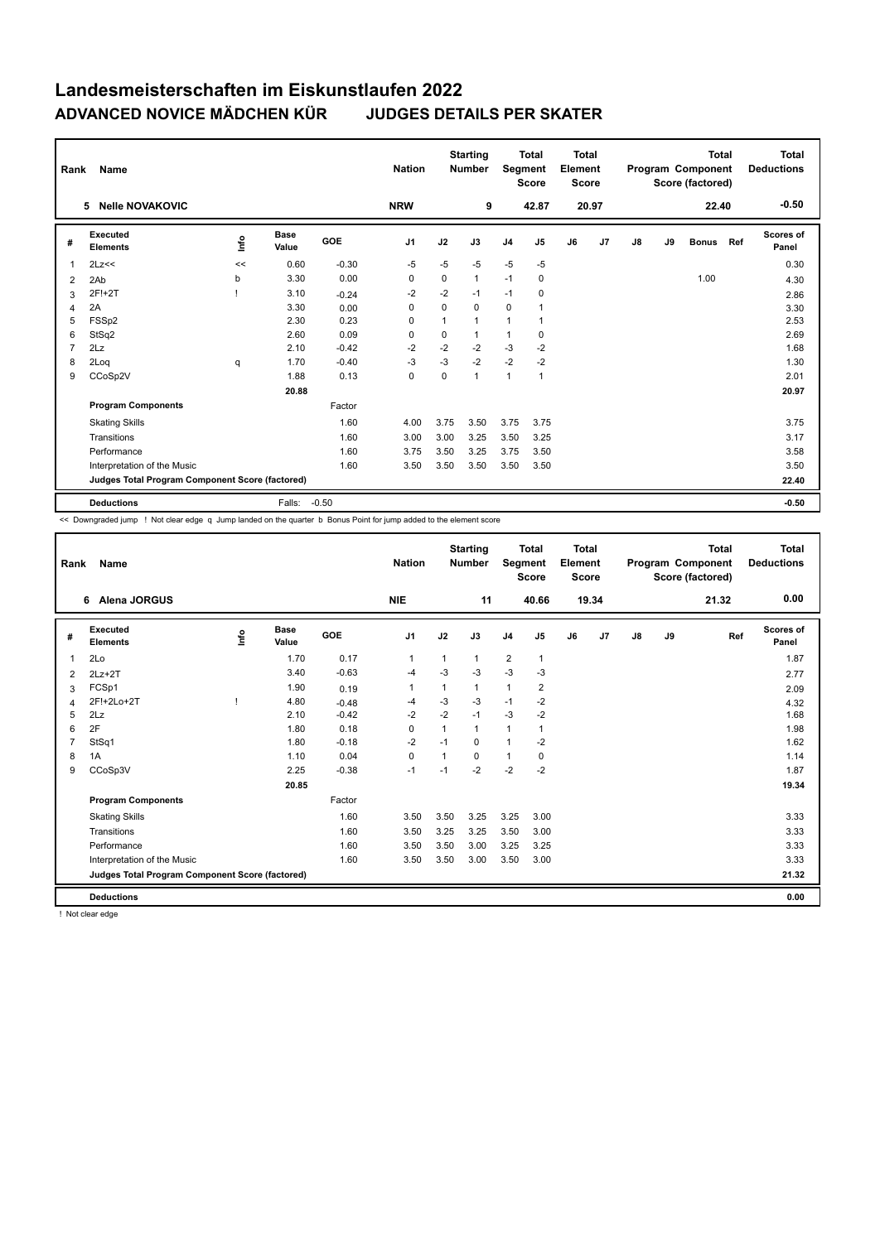| Rank           | <b>Name</b>                                     |      |                      |         | <b>Nation</b>  |      | <b>Starting</b><br><b>Number</b> | Segment        | <b>Total</b><br><b>Score</b> | Total<br>Element<br><b>Score</b> |                |               |    | Total<br>Program Component<br>Score (factored) |     | Total<br><b>Deductions</b> |
|----------------|-------------------------------------------------|------|----------------------|---------|----------------|------|----------------------------------|----------------|------------------------------|----------------------------------|----------------|---------------|----|------------------------------------------------|-----|----------------------------|
|                | <b>Nelle NOVAKOVIC</b><br>5                     |      |                      |         | <b>NRW</b>     |      | 9                                |                | 42.87                        |                                  | 20.97          |               |    | 22.40                                          |     | $-0.50$                    |
| #              | Executed<br><b>Elements</b>                     | lnfo | <b>Base</b><br>Value | GOE     | J <sub>1</sub> | J2   | J3                               | J <sub>4</sub> | J <sub>5</sub>               | J6                               | J <sub>7</sub> | $\mathsf{J}8$ | J9 | <b>Bonus</b>                                   | Ref | Scores of<br>Panel         |
| $\overline{1}$ | 2Lz<<                                           | <<   | 0.60                 | $-0.30$ | $-5$           | $-5$ | $-5$                             | $-5$           | $-5$                         |                                  |                |               |    |                                                |     | 0.30                       |
| 2              | 2Ab                                             | b    | 3.30                 | 0.00    | 0              | 0    | $\mathbf{1}$                     | $-1$           | 0                            |                                  |                |               |    | 1.00                                           |     | 4.30                       |
| 3              | 2F!+2T                                          |      | 3.10                 | $-0.24$ | $-2$           | $-2$ | $-1$                             | $-1$           | $\mathbf 0$                  |                                  |                |               |    |                                                |     | 2.86                       |
| $\overline{4}$ | 2A                                              |      | 3.30                 | 0.00    | 0              | 0    | 0                                | 0              | $\mathbf{1}$                 |                                  |                |               |    |                                                |     | 3.30                       |
| 5              | FSSp2                                           |      | 2.30                 | 0.23    | 0              | 1    | 1                                | $\overline{1}$ | 1                            |                                  |                |               |    |                                                |     | 2.53                       |
| 6              | StSq2                                           |      | 2.60                 | 0.09    | $\Omega$       | 0    | 1                                | $\overline{1}$ | 0                            |                                  |                |               |    |                                                |     | 2.69                       |
| $\overline{7}$ | 2Lz                                             |      | 2.10                 | $-0.42$ | $-2$           | $-2$ | $-2$                             | $-3$           | $-2$                         |                                  |                |               |    |                                                |     | 1.68                       |
| 8              | 2Log                                            | q    | 1.70                 | $-0.40$ | $-3$           | $-3$ | $-2$                             | $-2$           | $-2$                         |                                  |                |               |    |                                                |     | 1.30                       |
| 9              | CCoSp2V                                         |      | 1.88                 | 0.13    | $\mathbf 0$    | 0    | 1                                | $\mathbf{1}$   | 1                            |                                  |                |               |    |                                                |     | 2.01                       |
|                |                                                 |      | 20.88                |         |                |      |                                  |                |                              |                                  |                |               |    |                                                |     | 20.97                      |
|                | <b>Program Components</b>                       |      |                      | Factor  |                |      |                                  |                |                              |                                  |                |               |    |                                                |     |                            |
|                | <b>Skating Skills</b>                           |      |                      | 1.60    | 4.00           | 3.75 | 3.50                             | 3.75           | 3.75                         |                                  |                |               |    |                                                |     | 3.75                       |
|                | Transitions                                     |      |                      | 1.60    | 3.00           | 3.00 | 3.25                             | 3.50           | 3.25                         |                                  |                |               |    |                                                |     | 3.17                       |
|                | Performance                                     |      |                      | 1.60    | 3.75           | 3.50 | 3.25                             | 3.75           | 3.50                         |                                  |                |               |    |                                                |     | 3.58                       |
|                | Interpretation of the Music                     |      |                      | 1.60    | 3.50           | 3.50 | 3.50                             | 3.50           | 3.50                         |                                  |                |               |    |                                                |     | 3.50                       |
|                | Judges Total Program Component Score (factored) |      |                      |         |                |      |                                  |                |                              |                                  |                |               |    |                                                |     | 22.40                      |
|                | <b>Deductions</b>                               |      | Falls:               | $-0.50$ |                |      |                                  |                |                              |                                  |                |               |    |                                                |     | $-0.50$                    |

<< Downgraded jump ! Not clear edge q Jump landed on the quarter b Bonus Point for jump added to the element score

| Rank           | Name                                            |      |                      |         | <b>Nation</b>  |              | <b>Starting</b><br><b>Number</b> | Segment        | <b>Total</b><br><b>Score</b> | <b>Total</b><br>Element<br><b>Score</b> |       |    |    | <b>Total</b><br>Program Component<br>Score (factored) | <b>Total</b><br><b>Deductions</b> |
|----------------|-------------------------------------------------|------|----------------------|---------|----------------|--------------|----------------------------------|----------------|------------------------------|-----------------------------------------|-------|----|----|-------------------------------------------------------|-----------------------------------|
|                | Alena JORGUS<br>6                               |      |                      |         | <b>NIE</b>     |              | 11                               |                | 40.66                        |                                         | 19.34 |    |    | 21.32                                                 | 0.00                              |
| #              | Executed<br><b>Elements</b>                     | lnfo | <b>Base</b><br>Value | GOE     | J <sub>1</sub> | J2           | J3                               | J <sub>4</sub> | J5                           | J6                                      | J7    | J8 | J9 | Ref                                                   | Scores of<br>Panel                |
| 1              | 2Lo                                             |      | 1.70                 | 0.17    | $\mathbf{1}$   |              | $\mathbf{1}$                     | $\overline{2}$ | $\mathbf{1}$                 |                                         |       |    |    |                                                       | 1.87                              |
| 2              | $2Lz+2T$                                        |      | 3.40                 | $-0.63$ | $-4$           | $-3$         | $-3$                             | $-3$           | $-3$                         |                                         |       |    |    |                                                       | 2.77                              |
| 3              | FCSp1                                           |      | 1.90                 | 0.19    | 1              |              | $\mathbf{1}$                     | $\mathbf{1}$   | $\overline{2}$               |                                         |       |    |    |                                                       | 2.09                              |
| $\overline{4}$ | 2F!+2Lo+2T                                      |      | 4.80                 | $-0.48$ | $-4$           | $-3$         | $-3$                             | $-1$           | $-2$                         |                                         |       |    |    |                                                       | 4.32                              |
| 5              | 2Lz                                             |      | 2.10                 | $-0.42$ | $-2$           | $-2$         | $-1$                             | $-3$           | $-2$                         |                                         |       |    |    |                                                       | 1.68                              |
| 6              | 2F                                              |      | 1.80                 | 0.18    | $\Omega$       | $\mathbf{1}$ | $\mathbf{1}$                     | $\mathbf{1}$   | $\mathbf 1$                  |                                         |       |    |    |                                                       | 1.98                              |
| $\overline{7}$ | StSq1                                           |      | 1.80                 | $-0.18$ | $-2$           | $-1$         | $\Omega$                         | $\overline{1}$ | $-2$                         |                                         |       |    |    |                                                       | 1.62                              |
| 8              | 1A                                              |      | 1.10                 | 0.04    | 0              | 1            | 0                                | $\mathbf{1}$   | 0                            |                                         |       |    |    |                                                       | 1.14                              |
| 9              | CCoSp3V                                         |      | 2.25                 | $-0.38$ | $-1$           | $-1$         | $-2$                             | $-2$           | $-2$                         |                                         |       |    |    |                                                       | 1.87                              |
|                |                                                 |      | 20.85                |         |                |              |                                  |                |                              |                                         |       |    |    |                                                       | 19.34                             |
|                | <b>Program Components</b>                       |      |                      | Factor  |                |              |                                  |                |                              |                                         |       |    |    |                                                       |                                   |
|                | <b>Skating Skills</b>                           |      |                      | 1.60    | 3.50           | 3.50         | 3.25                             | 3.25           | 3.00                         |                                         |       |    |    |                                                       | 3.33                              |
|                | Transitions                                     |      |                      | 1.60    | 3.50           | 3.25         | 3.25                             | 3.50           | 3.00                         |                                         |       |    |    |                                                       | 3.33                              |
|                | Performance                                     |      |                      | 1.60    | 3.50           | 3.50         | 3.00                             | 3.25           | 3.25                         |                                         |       |    |    |                                                       | 3.33                              |
|                | Interpretation of the Music                     |      |                      | 1.60    | 3.50           | 3.50         | 3.00                             | 3.50           | 3.00                         |                                         |       |    |    |                                                       | 3.33                              |
|                | Judges Total Program Component Score (factored) |      |                      |         |                |              |                                  |                |                              |                                         |       |    |    |                                                       | 21.32                             |
|                | <b>Deductions</b>                               |      |                      |         |                |              |                                  |                |                              |                                         |       |    |    |                                                       | 0.00                              |

! Not clear edge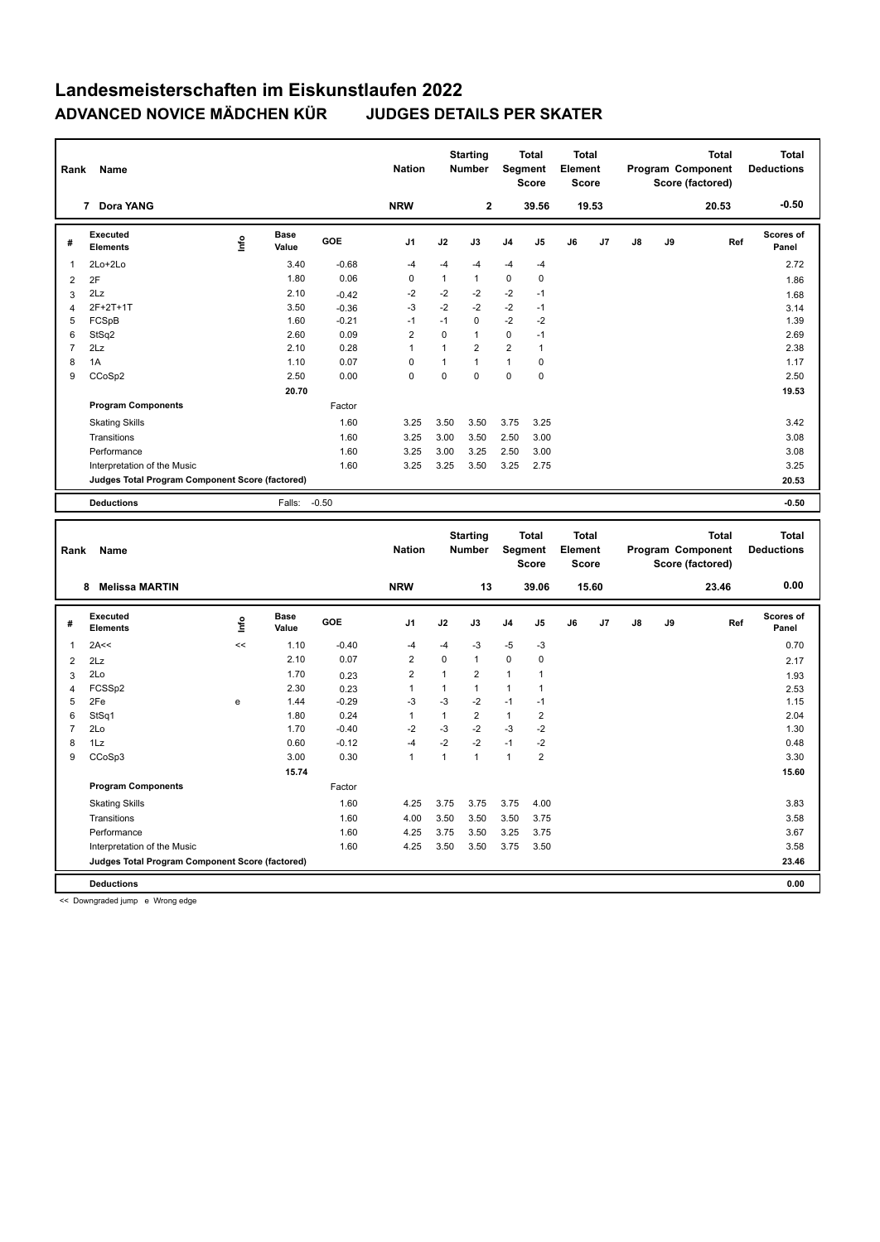| Rank           | Name                                                                 |                                                  |                      |                 | <b>Nation</b>                           |                              | <b>Starting</b><br><b>Number</b> |                | <b>Total</b><br>Segment<br><b>Score</b> | <b>Total</b><br>Element | <b>Score</b> |    |    | <b>Total</b><br>Program Component<br>Score (factored) | <b>Total</b><br><b>Deductions</b> |
|----------------|----------------------------------------------------------------------|--------------------------------------------------|----------------------|-----------------|-----------------------------------------|------------------------------|----------------------------------|----------------|-----------------------------------------|-------------------------|--------------|----|----|-------------------------------------------------------|-----------------------------------|
|                | 7 Dora YANG                                                          |                                                  |                      |                 | <b>NRW</b>                              |                              | $\overline{2}$                   |                | 39.56                                   |                         | 19.53        |    |    | 20.53                                                 | $-0.50$                           |
| #              | Executed<br><b>Elements</b>                                          | lnfo                                             | <b>Base</b><br>Value | GOE             | J1                                      | J2                           | J3                               | J4             | J5                                      | J6                      | J7           | J8 | J9 | Ref                                                   | <b>Scores of</b><br>Panel         |
| 1              | 2Lo+2Lo                                                              |                                                  | 3.40                 | $-0.68$         | $-4$                                    | -4                           | -4                               | $-4$           | -4                                      |                         |              |    |    |                                                       | 2.72                              |
| $\overline{c}$ | 2F                                                                   |                                                  | 1.80                 | 0.06            | $\pmb{0}$                               | $\mathbf{1}$                 | $\mathbf{1}$                     | $\mathbf 0$    | $\mathbf 0$                             |                         |              |    |    |                                                       | 1.86                              |
| 3              | 2Lz                                                                  |                                                  | 2.10                 | $-0.42$         | $-2$                                    | $-2$                         | $-2$                             | $-2$           | $-1$                                    |                         |              |    |    |                                                       | 1.68                              |
| $\overline{4}$ | 2F+2T+1T                                                             |                                                  | 3.50                 | $-0.36$         | $-3$                                    | $-2$                         | $-2$                             | $-2$           | $-1$                                    |                         |              |    |    |                                                       | 3.14                              |
| 5              | FCSpB                                                                |                                                  | 1.60                 | $-0.21$         | $-1$                                    | $-1$                         | 0                                | $-2$           | $-2$                                    |                         |              |    |    |                                                       | 1.39                              |
| 6              | StSq2                                                                |                                                  | 2.60                 | 0.09            | $\sqrt{2}$                              | $\mathbf 0$                  | $\mathbf{1}$                     | $\mathbf 0$    | $-1$                                    |                         |              |    |    |                                                       | 2.69                              |
| $\overline{7}$ | 2Lz                                                                  |                                                  | 2.10                 | 0.28            | $\mathbf{1}$                            | $\mathbf{1}$                 | $\overline{2}$                   | $\overline{2}$ | $\mathbf{1}$                            |                         |              |    |    |                                                       | 2.38                              |
| 8              | 1A                                                                   |                                                  | 1.10                 | 0.07            | $\mathbf 0$                             | $\mathbf{1}$                 | $\mathbf{1}$                     | $\mathbf{1}$   | $\pmb{0}$                               |                         |              |    |    |                                                       | 1.17                              |
| 9              | CCoSp2                                                               |                                                  | 2.50                 | 0.00            | $\mathbf 0$                             | $\mathbf 0$                  | $\mathbf 0$                      | 0              | $\mathbf 0$                             |                         |              |    |    |                                                       | 2.50                              |
|                |                                                                      |                                                  | 20.70                |                 |                                         |                              |                                  |                |                                         |                         |              |    |    |                                                       | 19.53                             |
|                | <b>Program Components</b>                                            |                                                  |                      | Factor          |                                         |                              |                                  |                |                                         |                         |              |    |    |                                                       |                                   |
|                | <b>Skating Skills</b>                                                |                                                  |                      | 1.60            | 3.25                                    | 3.50                         | 3.50                             | 3.75           | 3.25                                    |                         |              |    |    |                                                       | 3.42                              |
|                | Transitions                                                          |                                                  |                      | 1.60            | 3.25                                    | 3.00                         | 3.50                             | 2.50           | 3.00                                    |                         |              |    |    |                                                       | 3.08                              |
|                | Performance                                                          |                                                  |                      | 1.60            | 3.25                                    | 3.00                         | 3.25                             | 2.50           | 3.00                                    |                         |              |    |    |                                                       | 3.08                              |
|                | Interpretation of the Music                                          |                                                  |                      | 1.60            | 3.25                                    | 3.25                         | 3.50                             | 3.25           | 2.75                                    |                         |              |    |    |                                                       | 3.25                              |
|                | Judges Total Program Component Score (factored)                      |                                                  |                      |                 |                                         |                              |                                  |                |                                         |                         |              |    |    |                                                       | 20.53                             |
|                | <b>Deductions</b>                                                    |                                                  | Falls:               | $-0.50$         |                                         |                              |                                  |                |                                         |                         |              |    |    |                                                       | $-0.50$                           |
|                |                                                                      |                                                  |                      |                 |                                         |                              |                                  |                |                                         |                         |              |    |    |                                                       |                                   |
|                |                                                                      |                                                  |                      |                 |                                         |                              |                                  |                |                                         |                         |              |    |    |                                                       |                                   |
| Rank           | Name                                                                 |                                                  |                      |                 | <b>Nation</b>                           |                              | <b>Starting</b><br><b>Number</b> |                | <b>Total</b><br>Segment<br><b>Score</b> | <b>Total</b><br>Element | <b>Score</b> |    |    | <b>Total</b><br>Program Component<br>Score (factored) | <b>Total</b><br><b>Deductions</b> |
|                | 8<br>Melissa MARTIN                                                  |                                                  |                      |                 | <b>NRW</b>                              |                              | 13                               |                | 39.06                                   |                         | 15.60        |    |    | 23.46                                                 | 0.00                              |
| #              | <b>Executed</b><br><b>Elements</b>                                   | ١nf٥                                             | <b>Base</b><br>Value | GOE             | J <sub>1</sub>                          | J2                           | J3                               | J4             | J5                                      | J6                      | J7           | J8 | J9 | Ref                                                   | <b>Scores of</b><br>Panel         |
| $\mathbf{1}$   |                                                                      | <<                                               |                      |                 | $-4$                                    | $-4$                         |                                  |                |                                         |                         |              |    |    |                                                       |                                   |
|                | 2A<<                                                                 |                                                  | 1.10<br>2.10         | $-0.40$<br>0.07 | $\overline{2}$                          | $\mathbf 0$                  | -3<br>$\mathbf{1}$               | $-5$<br>0      | $-3$<br>$\pmb{0}$                       |                         |              |    |    |                                                       | 0.70                              |
| $\overline{c}$ | 2Lz                                                                  |                                                  |                      |                 |                                         |                              |                                  |                |                                         |                         |              |    |    |                                                       | 2.17                              |
| 3              | 2Lo<br>FCSSp2                                                        |                                                  | 1.70<br>2.30         | 0.23            | $\overline{\mathbf{c}}$<br>$\mathbf{1}$ | $\mathbf{1}$<br>$\mathbf{1}$ | $\overline{2}$<br>$\mathbf{1}$   | 1<br>1         | 1<br>$\mathbf{1}$                       |                         |              |    |    |                                                       | 1.93                              |
| 4<br>5         | 2Fe                                                                  | $\mathbf{e}% _{t}\left  \mathbf{1}\right\rangle$ | 1.44                 | 0.23<br>$-0.29$ | $-3$                                    | $-3$                         | $-2$                             | $-1$           | $-1$                                    |                         |              |    |    |                                                       | 2.53<br>1.15                      |
| 6              | StSq1                                                                |                                                  | 1.80                 | 0.24            | $\mathbf{1}$                            | $\mathbf{1}$                 | $\overline{2}$                   | $\mathbf{1}$   | $\overline{2}$                          |                         |              |    |    |                                                       | 2.04                              |
| $\overline{7}$ | 2Lo                                                                  |                                                  | 1.70                 | $-0.40$         | $-2$                                    | $-3$                         | $-2$                             | $-3$           | $-2$                                    |                         |              |    |    |                                                       | 1.30                              |
| 8              | 1Lz                                                                  |                                                  | 0.60                 | $-0.12$         | $-4$                                    | $-2$                         | $-2$                             | $-1$           | $-2$                                    |                         |              |    |    |                                                       | 0.48                              |
| 9              | CCoSp3                                                               |                                                  | 3.00                 | 0.30            | $\mathbf{1}$                            | $\mathbf{1}$                 | $\mathbf{1}$                     | $\mathbf{1}$   | $\overline{2}$                          |                         |              |    |    |                                                       | 3.30                              |
|                |                                                                      |                                                  | 15.74                |                 |                                         |                              |                                  |                |                                         |                         |              |    |    |                                                       | 15.60                             |
|                | <b>Program Components</b>                                            |                                                  |                      | Factor          |                                         |                              |                                  |                |                                         |                         |              |    |    |                                                       |                                   |
|                | <b>Skating Skills</b>                                                |                                                  |                      | 1.60            | 4.25                                    | 3.75                         | 3.75                             | 3.75           | 4.00                                    |                         |              |    |    |                                                       | 3.83                              |
|                |                                                                      |                                                  |                      |                 |                                         |                              |                                  |                |                                         |                         |              |    |    |                                                       |                                   |
|                | Transitions                                                          |                                                  |                      | 1.60            | 4.00                                    | 3.50                         | 3.50                             | 3.50           | 3.75                                    |                         |              |    |    |                                                       | 3.58                              |
|                | Performance                                                          |                                                  |                      | 1.60            | 4.25<br>4.25                            | 3.75                         | 3.50                             | 3.25           | 3.75                                    |                         |              |    |    |                                                       | 3.67                              |
|                | Interpretation of the Music                                          |                                                  |                      | 1.60            |                                         | 3.50                         | 3.50                             | 3.75           | 3.50                                    |                         |              |    |    |                                                       | 3.58<br>23.46                     |
|                | Judges Total Program Component Score (factored)<br><b>Deductions</b> |                                                  |                      |                 |                                         |                              |                                  |                |                                         |                         |              |    |    |                                                       | 0.00                              |

<< Downgraded jump e Wrong edge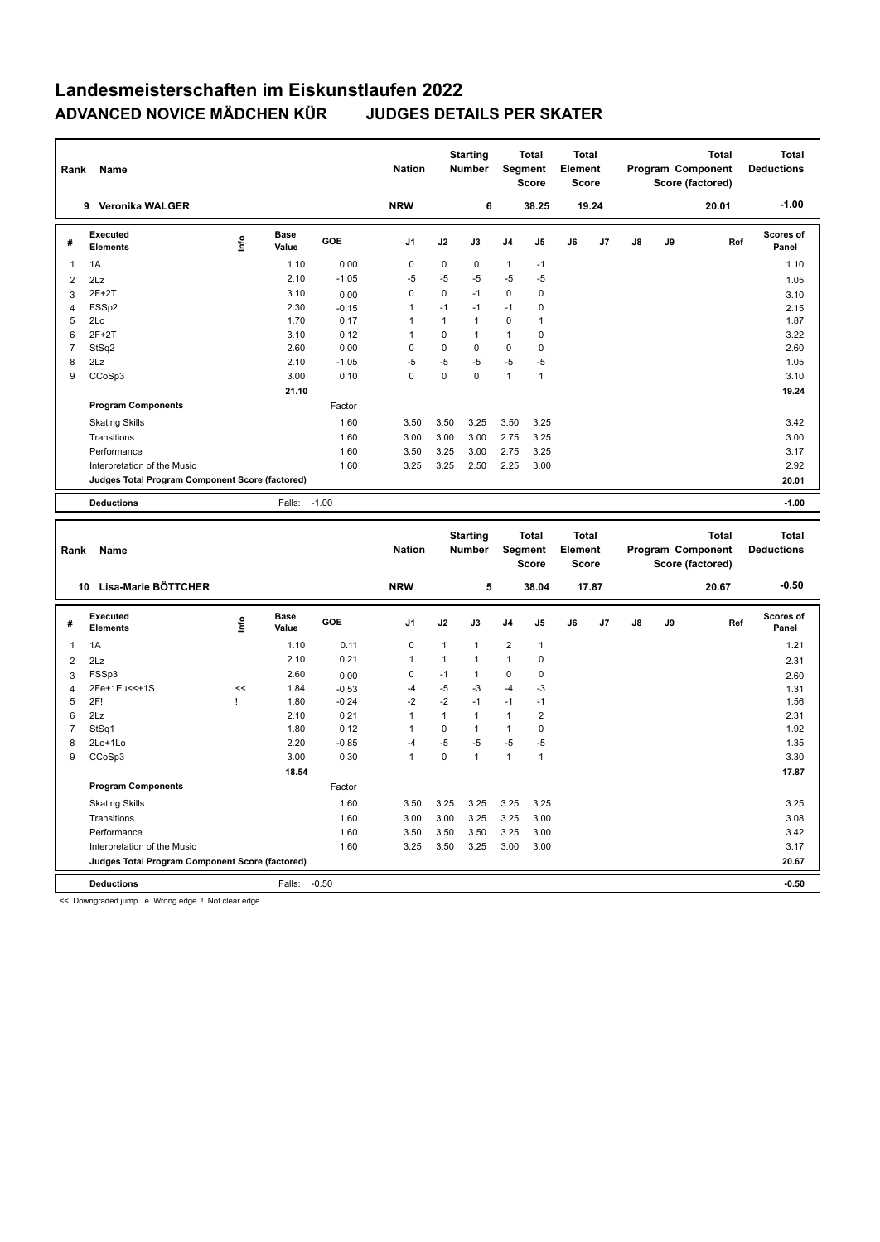| Rank                | Name                                            |              |                      |                 | <b>Nation</b>       |              | <b>Starting</b><br><b>Number</b> | Segment        | <b>Total</b><br><b>Score</b> | <b>Total</b><br>Element<br><b>Score</b> |       |    |    | <b>Total</b><br>Program Component<br>Score (factored) |     | <b>Total</b><br><b>Deductions</b> |
|---------------------|-------------------------------------------------|--------------|----------------------|-----------------|---------------------|--------------|----------------------------------|----------------|------------------------------|-----------------------------------------|-------|----|----|-------------------------------------------------------|-----|-----------------------------------|
|                     | 9 Veronika WALGER                               |              |                      |                 | <b>NRW</b>          |              | 6                                |                | 38.25                        |                                         | 19.24 |    |    | 20.01                                                 |     | $-1.00$                           |
| #                   | <b>Executed</b><br><b>Elements</b>              | ١nfo         | <b>Base</b><br>Value | GOE             | J <sub>1</sub>      | J2           | J3                               | J4             | J5                           | J6                                      | J7    | J8 | J9 |                                                       | Ref | <b>Scores of</b><br>Panel         |
| 1                   | 1A                                              |              | 1.10                 | 0.00            | $\pmb{0}$           | $\pmb{0}$    | 0                                | $\mathbf{1}$   | $-1$                         |                                         |       |    |    |                                                       |     | 1.10                              |
| $\overline{2}$      | 2Lz                                             |              | 2.10                 | $-1.05$         | $-5$                | $-5$         | -5                               | $-5$           | $-5$                         |                                         |       |    |    |                                                       |     | 1.05                              |
| 3                   | $2F+2T$                                         |              | 3.10                 | 0.00            | $\mathbf 0$         | $\mathbf 0$  | $-1$                             | 0              | $\mathbf 0$                  |                                         |       |    |    |                                                       |     | 3.10                              |
| 4                   | FSSp2                                           |              | 2.30                 | $-0.15$         | $\mathbf{1}$        | $-1$         | $-1$                             | $-1$           | $\pmb{0}$                    |                                         |       |    |    |                                                       |     | 2.15                              |
| 5                   | 2Lo                                             |              | 1.70                 | 0.17            | 1                   | $\mathbf{1}$ | $\mathbf{1}$                     | 0              | $\mathbf{1}$                 |                                         |       |    |    |                                                       |     | 1.87                              |
| 6                   | $2F+2T$                                         |              | 3.10                 | 0.12            | $\mathbf{1}$        | $\Omega$     | $\mathbf{1}$                     | 1              | $\mathbf 0$                  |                                         |       |    |    |                                                       |     | 3.22                              |
| $\overline{7}$      | StSq2                                           |              | 2.60                 | 0.00            | $\pmb{0}$           | $\pmb{0}$    | $\mathbf 0$                      | 0              | $\pmb{0}$                    |                                         |       |    |    |                                                       |     | 2.60                              |
| 8                   | 2Lz                                             |              | 2.10                 | $-1.05$         | $-5$                | $-5$         | -5                               | $-5$           | $-5$                         |                                         |       |    |    |                                                       |     | 1.05                              |
| 9                   | CCoSp3                                          |              | 3.00                 | 0.10            | $\mathbf 0$         | $\mathbf 0$  | $\mathbf 0$                      | $\mathbf{1}$   | $\mathbf{1}$                 |                                         |       |    |    |                                                       |     | 3.10                              |
|                     |                                                 |              | 21.10                |                 |                     |              |                                  |                |                              |                                         |       |    |    |                                                       |     | 19.24                             |
|                     | <b>Program Components</b>                       |              |                      | Factor          |                     |              |                                  |                |                              |                                         |       |    |    |                                                       |     |                                   |
|                     | <b>Skating Skills</b>                           |              |                      | 1.60            | 3.50                | 3.50         | 3.25                             | 3.50           | 3.25                         |                                         |       |    |    |                                                       |     | 3.42                              |
|                     | Transitions                                     |              |                      | 1.60            | 3.00                | 3.00         | 3.00                             | 2.75           | 3.25                         |                                         |       |    |    |                                                       |     | 3.00                              |
|                     | Performance                                     |              |                      | 1.60            | 3.50                | 3.25         | 3.00                             | 2.75           | 3.25                         |                                         |       |    |    |                                                       |     | 3.17                              |
|                     | Interpretation of the Music                     |              |                      | 1.60            | 3.25                | 3.25         | 2.50                             | 2.25           | 3.00                         |                                         |       |    |    |                                                       |     | 2.92                              |
|                     | Judges Total Program Component Score (factored) |              |                      |                 |                     |              |                                  |                |                              |                                         |       |    |    |                                                       |     | 20.01                             |
|                     | <b>Deductions</b>                               |              | Falls:               | $-1.00$         |                     |              |                                  |                |                              |                                         |       |    |    |                                                       |     | $-1.00$                           |
|                     |                                                 |              |                      |                 |                     |              |                                  |                |                              |                                         |       |    |    |                                                       |     |                                   |
|                     |                                                 |              |                      |                 |                     |              |                                  |                |                              |                                         |       |    |    |                                                       |     |                                   |
| Rank                | Name                                            |              |                      |                 | <b>Nation</b>       |              | <b>Starting</b><br>Number        | <b>Segment</b> | <b>Total</b><br><b>Score</b> | <b>Total</b><br>Element<br><b>Score</b> |       |    |    | <b>Total</b><br>Program Component<br>Score (factored) |     | <b>Total</b><br><b>Deductions</b> |
|                     | 10 Lisa-Marie BÖTTCHER                          |              |                      |                 | <b>NRW</b>          |              | 5                                |                | 38.04                        |                                         | 17.87 |    |    | 20.67                                                 |     | $-0.50$                           |
| #                   | <b>Executed</b><br><b>Elements</b>              | lnfo         | Base<br>Value        | GOE             | J <sub>1</sub>      | J2           | J3                               | J4             | J5                           | J6                                      | J7    | J8 | J9 |                                                       | Ref | <b>Scores of</b><br>Panel         |
| $\mathbf{1}$        |                                                 |              | 1.10                 | 0.11            | 0                   | $\mathbf{1}$ | $\mathbf{1}$                     | 2              | $\mathbf{1}$                 |                                         |       |    |    |                                                       |     | 1.21                              |
|                     | 1A                                              |              | 2.10                 | 0.21            | $\mathbf{1}$        | $\mathbf{1}$ | $\mathbf{1}$                     | $\mathbf{1}$   | $\mathbf 0$                  |                                         |       |    |    |                                                       |     |                                   |
| $\overline{2}$      | 2Lz                                             |              |                      |                 |                     | $-1$         | $\mathbf{1}$                     | 0              | $\mathbf 0$                  |                                         |       |    |    |                                                       |     | 2.31                              |
| 3<br>$\overline{4}$ | FSSp3<br>2Fe+1Eu<<+1S                           | <<           | 2.60<br>1.84         | 0.00<br>$-0.53$ | $\mathbf 0$<br>$-4$ | $-5$         | -3                               | $-4$           | $-3$                         |                                         |       |    |    |                                                       |     | 2.60                              |
| 5                   | 2F!                                             | $\mathbf{I}$ | 1.80                 | $-0.24$         | $-2$                | $-2$         | $-1$                             | $-1$           | $-1$                         |                                         |       |    |    |                                                       |     | 1.31<br>1.56                      |
| 6                   | 2Lz                                             |              | 2.10                 | 0.21            | $\mathbf{1}$        | $\mathbf{1}$ | $\mathbf{1}$                     | $\mathbf{1}$   | $\overline{2}$               |                                         |       |    |    |                                                       |     | 2.31                              |
| $\overline{7}$      | StSq1                                           |              | 1.80                 | 0.12            | $\mathbf{1}$        | $\mathbf 0$  | $\mathbf{1}$                     | $\mathbf{1}$   | $\mathbf 0$                  |                                         |       |    |    |                                                       |     | 1.92                              |
| 8                   | 2Lo+1Lo                                         |              | 2.20                 | $-0.85$         | $-4$                | $-5$         | -5                               | $-5$           | -5                           |                                         |       |    |    |                                                       |     | 1.35                              |
| 9                   | CCoSp3                                          |              | 3.00                 | 0.30            | $\mathbf{1}$        | $\pmb{0}$    | $\mathbf{1}$                     | $\mathbf{1}$   | $\mathbf{1}$                 |                                         |       |    |    |                                                       |     | 3.30                              |
|                     |                                                 |              | 18.54                |                 |                     |              |                                  |                |                              |                                         |       |    |    |                                                       |     | 17.87                             |
|                     | <b>Program Components</b>                       |              |                      | Factor          |                     |              |                                  |                |                              |                                         |       |    |    |                                                       |     |                                   |
|                     |                                                 |              |                      |                 |                     |              |                                  |                |                              |                                         |       |    |    |                                                       |     |                                   |
|                     | <b>Skating Skills</b>                           |              |                      | 1.60            | 3.50                | 3.25         | 3.25                             | 3.25           | 3.25                         |                                         |       |    |    |                                                       |     | 3.25                              |
|                     | Transitions                                     |              |                      | 1.60            | 3.00                | 3.00         | 3.25                             | 3.25           | 3.00                         |                                         |       |    |    |                                                       |     | 3.08                              |
|                     | Performance                                     |              |                      | 1.60            | 3.50                | 3.50         | 3.50                             | 3.25           | 3.00                         |                                         |       |    |    |                                                       |     | 3.42                              |
|                     | Interpretation of the Music                     |              |                      | 1.60            | 3.25                | 3.50         | 3.25                             | 3.00           | 3.00                         |                                         |       |    |    |                                                       |     | 3.17                              |
|                     | Judges Total Program Component Score (factored) |              |                      | $-0.50$         |                     |              |                                  |                |                              |                                         |       |    |    |                                                       |     | 20.67                             |

<< Downgraded jump e Wrong edge ! Not clear edge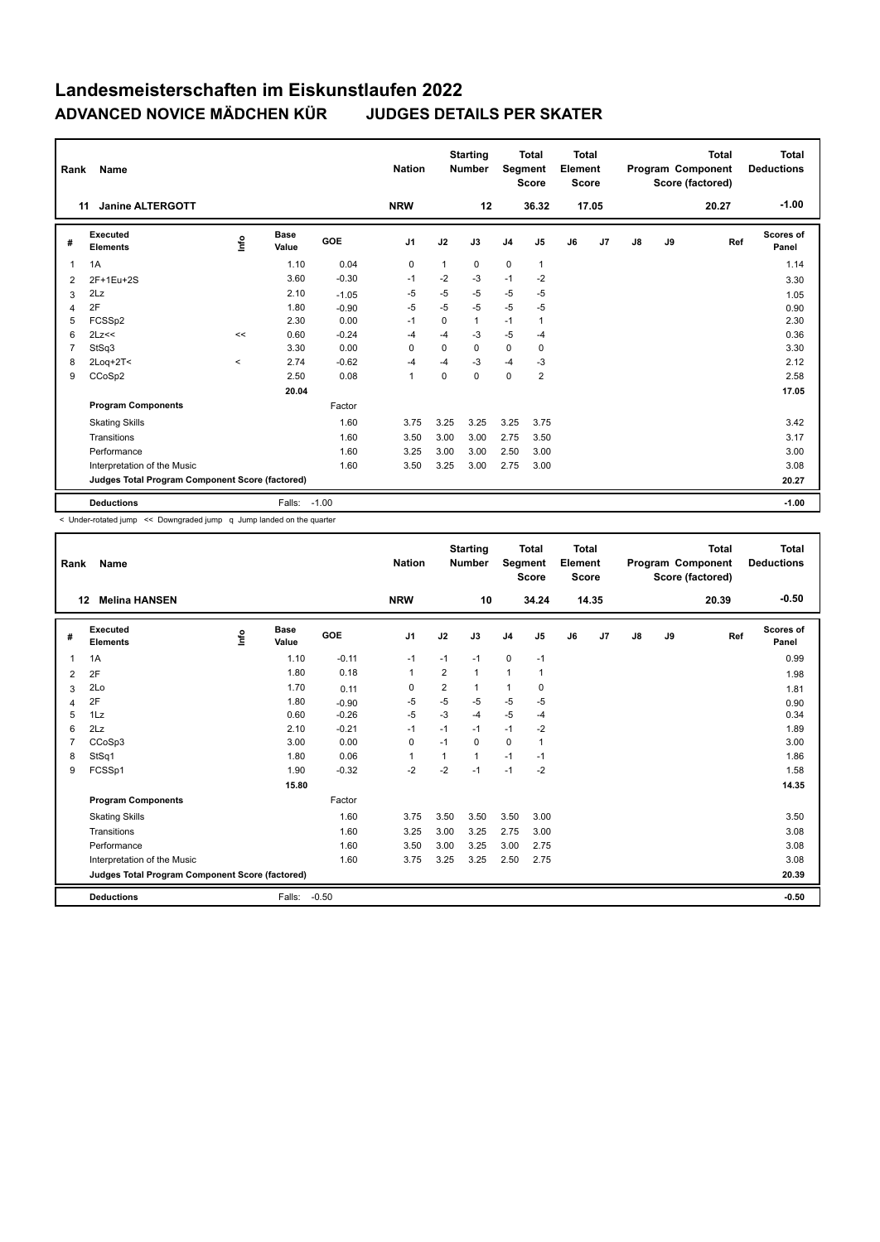| Rank           | Name                                            |         |                      |            | <b>Nation</b>  |              | <b>Starting</b><br><b>Number</b> | Segment        | <b>Total</b><br><b>Score</b> | Total<br>Element<br><b>Score</b> |                |               |    | <b>Total</b><br>Program Component<br>Score (factored) | Total<br><b>Deductions</b> |
|----------------|-------------------------------------------------|---------|----------------------|------------|----------------|--------------|----------------------------------|----------------|------------------------------|----------------------------------|----------------|---------------|----|-------------------------------------------------------|----------------------------|
|                | <b>Janine ALTERGOTT</b><br>11                   |         |                      |            | <b>NRW</b>     |              | 12                               |                | 36.32                        |                                  | 17.05          |               |    | 20.27                                                 | $-1.00$                    |
| #              | Executed<br><b>Elements</b>                     | lnfo    | <b>Base</b><br>Value | <b>GOE</b> | J <sub>1</sub> | J2           | J3                               | J <sub>4</sub> | J <sub>5</sub>               | J6                               | J <sub>7</sub> | $\mathsf{J}8$ | J9 | Ref                                                   | Scores of<br>Panel         |
| $\overline{1}$ | 1A                                              |         | 1.10                 | 0.04       | 0              | $\mathbf{1}$ | $\Omega$                         | $\mathbf 0$    | $\mathbf{1}$                 |                                  |                |               |    |                                                       | 1.14                       |
| 2              | 2F+1Eu+2S                                       |         | 3.60                 | $-0.30$    | $-1$           | $-2$         | $-3$                             | $-1$           | $-2$                         |                                  |                |               |    |                                                       | 3.30                       |
| 3              | 2Lz                                             |         | 2.10                 | $-1.05$    | $-5$           | $-5$         | $-5$                             | $-5$           | $-5$                         |                                  |                |               |    |                                                       | 1.05                       |
| 4              | 2F                                              |         | 1.80                 | $-0.90$    | -5             | $-5$         | $-5$                             | $-5$           | $-5$                         |                                  |                |               |    |                                                       | 0.90                       |
| 5              | FCSSp2                                          |         | 2.30                 | 0.00       | $-1$           | 0            | 1                                | $-1$           | $\mathbf{1}$                 |                                  |                |               |    |                                                       | 2.30                       |
| 6              | 2Lz<<                                           | <<      | 0.60                 | $-0.24$    | -4             | $-4$         | $-3$                             | $-5$           | $-4$                         |                                  |                |               |    |                                                       | 0.36                       |
| $\overline{7}$ | StSq3                                           |         | 3.30                 | 0.00       | 0              | 0            | 0                                | $\mathbf 0$    | $\mathbf 0$                  |                                  |                |               |    |                                                       | 3.30                       |
| 8              | 2Loq+2T<                                        | $\prec$ | 2.74                 | $-0.62$    | $-4$           | $-4$         | $-3$                             | $-4$           | $-3$                         |                                  |                |               |    |                                                       | 2.12                       |
| 9              | CCoSp2                                          |         | 2.50                 | 0.08       | $\overline{1}$ | $\mathbf 0$  | 0                                | $\mathbf 0$    | $\overline{2}$               |                                  |                |               |    |                                                       | 2.58                       |
|                |                                                 |         | 20.04                |            |                |              |                                  |                |                              |                                  |                |               |    |                                                       | 17.05                      |
|                | <b>Program Components</b>                       |         |                      | Factor     |                |              |                                  |                |                              |                                  |                |               |    |                                                       |                            |
|                | <b>Skating Skills</b>                           |         |                      | 1.60       | 3.75           | 3.25         | 3.25                             | 3.25           | 3.75                         |                                  |                |               |    |                                                       | 3.42                       |
|                | Transitions                                     |         |                      | 1.60       | 3.50           | 3.00         | 3.00                             | 2.75           | 3.50                         |                                  |                |               |    |                                                       | 3.17                       |
|                | Performance                                     |         |                      | 1.60       | 3.25           | 3.00         | 3.00                             | 2.50           | 3.00                         |                                  |                |               |    |                                                       | 3.00                       |
|                | Interpretation of the Music                     |         |                      | 1.60       | 3.50           | 3.25         | 3.00                             | 2.75           | 3.00                         |                                  |                |               |    |                                                       | 3.08                       |
|                | Judges Total Program Component Score (factored) |         |                      |            |                |              |                                  |                |                              |                                  |                |               |    |                                                       | 20.27                      |
|                | <b>Deductions</b>                               |         | Falls:               | $-1.00$    |                |              |                                  |                |                              |                                  |                |               |    |                                                       | $-1.00$                    |

< Under-rotated jump << Downgraded jump q Jump landed on the quarter

| Rank           | Name                                            |      |                      |            | <b>Nation</b>  |      | <b>Starting</b><br><b>Number</b> | Segment        | <b>Total</b><br><b>Score</b> | <b>Total</b><br>Element<br><b>Score</b> |       |               |    | <b>Total</b><br>Program Component<br>Score (factored) | Total<br><b>Deductions</b> |
|----------------|-------------------------------------------------|------|----------------------|------------|----------------|------|----------------------------------|----------------|------------------------------|-----------------------------------------|-------|---------------|----|-------------------------------------------------------|----------------------------|
| 12             | <b>Melina HANSEN</b>                            |      |                      |            | <b>NRW</b>     |      | 10                               |                | 34.24                        |                                         | 14.35 |               |    | 20.39                                                 | $-0.50$                    |
| #              | Executed<br><b>Elements</b>                     | Info | <b>Base</b><br>Value | <b>GOE</b> | J <sub>1</sub> | J2   | J3                               | J <sub>4</sub> | J5                           | J6                                      | J7    | $\mathsf{J}8$ | J9 | Ref                                                   | Scores of<br>Panel         |
| $\mathbf{1}$   | 1A                                              |      | 1.10                 | $-0.11$    | $-1$           | $-1$ | $-1$                             | $\mathbf 0$    | $-1$                         |                                         |       |               |    |                                                       | 0.99                       |
| 2              | 2F                                              |      | 1.80                 | 0.18       | 1              | 2    | $\mathbf{1}$                     | $\mathbf{1}$   | 1                            |                                         |       |               |    |                                                       | 1.98                       |
| 3              | 2Lo                                             |      | 1.70                 | 0.11       | 0              | 2    | 1                                | $\mathbf{1}$   | 0                            |                                         |       |               |    |                                                       | 1.81                       |
| 4              | 2F                                              |      | 1.80                 | $-0.90$    | $-5$           | $-5$ | $-5$                             | $-5$           | $-5$                         |                                         |       |               |    |                                                       | 0.90                       |
| 5              | 1Lz                                             |      | 0.60                 | $-0.26$    | $-5$           | $-3$ | $-4$                             | $-5$           | $-4$                         |                                         |       |               |    |                                                       | 0.34                       |
| 6              | 2Lz                                             |      | 2.10                 | $-0.21$    | $-1$           | $-1$ | $-1$                             | $-1$           | $-2$                         |                                         |       |               |    |                                                       | 1.89                       |
| $\overline{7}$ | CCoSp3                                          |      | 3.00                 | 0.00       | $\mathbf 0$    | $-1$ | 0                                | $\mathbf 0$    | 1                            |                                         |       |               |    |                                                       | 3.00                       |
| 8              | StSq1                                           |      | 1.80                 | 0.06       | $\mathbf{1}$   | 1    | 1                                | $-1$           | $-1$                         |                                         |       |               |    |                                                       | 1.86                       |
| 9              | FCSSp1                                          |      | 1.90                 | $-0.32$    | $-2$           | $-2$ | $-1$                             | $-1$           | $-2$                         |                                         |       |               |    |                                                       | 1.58                       |
|                |                                                 |      | 15.80                |            |                |      |                                  |                |                              |                                         |       |               |    |                                                       | 14.35                      |
|                | <b>Program Components</b>                       |      |                      | Factor     |                |      |                                  |                |                              |                                         |       |               |    |                                                       |                            |
|                | <b>Skating Skills</b>                           |      |                      | 1.60       | 3.75           | 3.50 | 3.50                             | 3.50           | 3.00                         |                                         |       |               |    |                                                       | 3.50                       |
|                | Transitions                                     |      |                      | 1.60       | 3.25           | 3.00 | 3.25                             | 2.75           | 3.00                         |                                         |       |               |    |                                                       | 3.08                       |
|                | Performance                                     |      |                      | 1.60       | 3.50           | 3.00 | 3.25                             | 3.00           | 2.75                         |                                         |       |               |    |                                                       | 3.08                       |
|                | Interpretation of the Music                     |      |                      | 1.60       | 3.75           | 3.25 | 3.25                             | 2.50           | 2.75                         |                                         |       |               |    |                                                       | 3.08                       |
|                | Judges Total Program Component Score (factored) |      |                      |            |                |      |                                  |                |                              |                                         |       |               |    |                                                       | 20.39                      |
|                | <b>Deductions</b>                               |      | Falls:               | $-0.50$    |                |      |                                  |                |                              |                                         |       |               |    |                                                       | $-0.50$                    |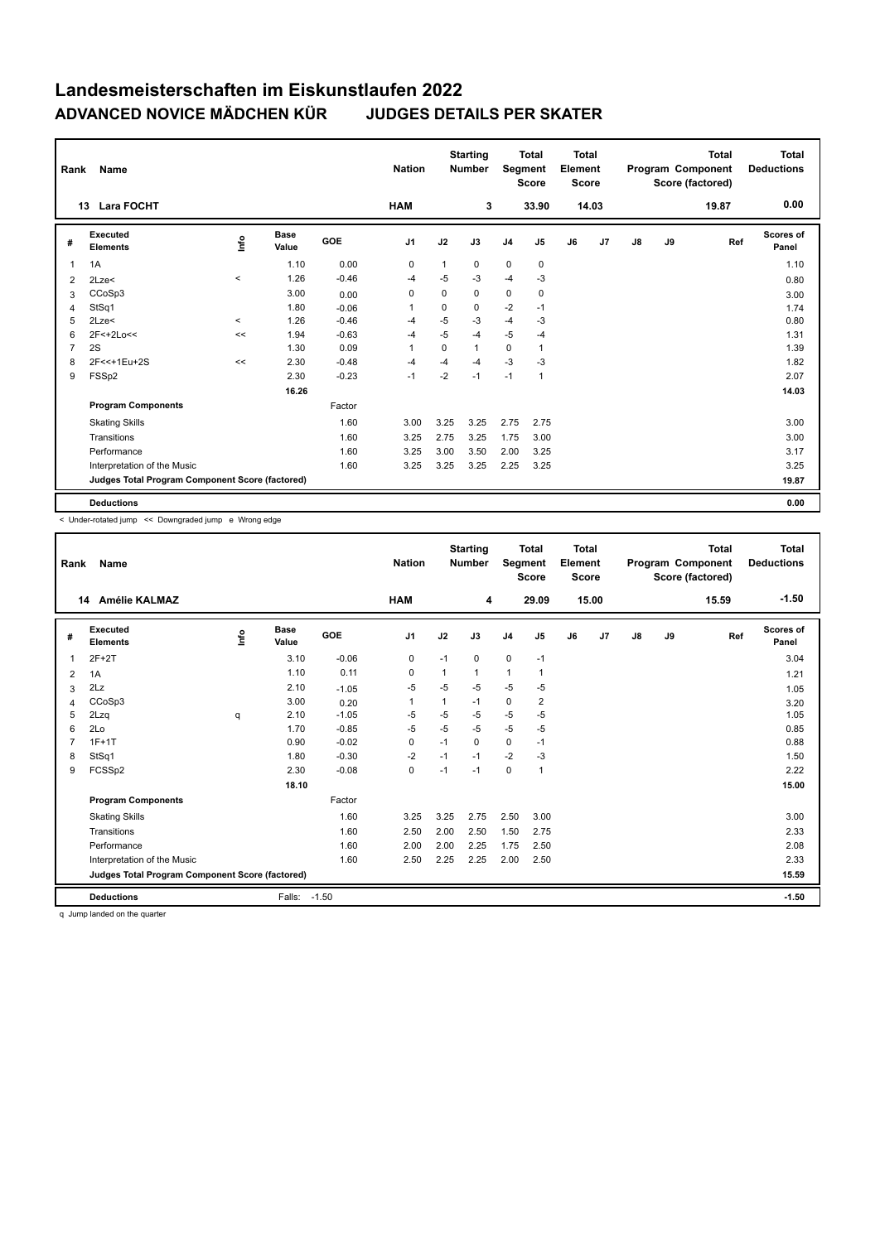| Rank           | Name                                            |          |                      |            | <b>Nation</b> |             | <b>Starting</b><br><b>Number</b> |                | <b>Total</b><br>Segment<br><b>Score</b> | <b>Total</b><br>Element<br><b>Score</b> |       |               |    | <b>Total</b><br>Program Component<br>Score (factored) | <b>Total</b><br><b>Deductions</b> |
|----------------|-------------------------------------------------|----------|----------------------|------------|---------------|-------------|----------------------------------|----------------|-----------------------------------------|-----------------------------------------|-------|---------------|----|-------------------------------------------------------|-----------------------------------|
|                | <b>Lara FOCHT</b><br>13                         |          |                      |            | <b>HAM</b>    |             | 3                                |                | 33.90                                   |                                         | 14.03 |               |    | 19.87                                                 | 0.00                              |
| #              | Executed<br><b>Elements</b>                     | ١nf٥     | <b>Base</b><br>Value | <b>GOE</b> | J1            | J2          | J3                               | J <sub>4</sub> | J <sub>5</sub>                          | J6                                      | J7    | $\mathsf{J}8$ | J9 | Ref                                                   | <b>Scores of</b><br>Panel         |
| $\overline{1}$ | 1A                                              |          | 1.10                 | 0.00       | 0             | 1           | 0                                | $\mathbf 0$    | $\mathbf 0$                             |                                         |       |               |    |                                                       | 1.10                              |
| 2              | 2Lze<                                           | $\prec$  | 1.26                 | $-0.46$    | -4            | $-5$        | $-3$                             | $-4$           | $-3$                                    |                                         |       |               |    |                                                       | 0.80                              |
| 3              | CCoSp3                                          |          | 3.00                 | 0.00       | 0             | $\mathbf 0$ | 0                                | $\mathbf 0$    | $\mathbf 0$                             |                                         |       |               |    |                                                       | 3.00                              |
| 4              | StSq1                                           |          | 1.80                 | $-0.06$    | 1             | $\mathbf 0$ | 0                                | $-2$           | $-1$                                    |                                         |       |               |    |                                                       | 1.74                              |
| 5              | 2Lze<                                           | $\hat{}$ | 1.26                 | $-0.46$    | -4            | $-5$        | $-3$                             | $-4$           | $-3$                                    |                                         |       |               |    |                                                       | 0.80                              |
| 6              | 2F<+2Lo<<                                       | <<       | 1.94                 | $-0.63$    | -4            | $-5$        | $-4$                             | $-5$           | $-4$                                    |                                         |       |               |    |                                                       | 1.31                              |
| $\overline{7}$ | 2S                                              |          | 1.30                 | 0.09       | 1             | $\Omega$    | 1                                | $\mathbf 0$    | 1                                       |                                         |       |               |    |                                                       | 1.39                              |
| 8              | 2F<<+1Eu+2S                                     | <<       | 2.30                 | $-0.48$    | -4            | $-4$        | $-4$                             | $-3$           | -3                                      |                                         |       |               |    |                                                       | 1.82                              |
| 9              | FSSp2                                           |          | 2.30                 | $-0.23$    | $-1$          | $-2$        | $-1$                             | $-1$           | $\mathbf{1}$                            |                                         |       |               |    |                                                       | 2.07                              |
|                |                                                 |          | 16.26                |            |               |             |                                  |                |                                         |                                         |       |               |    |                                                       | 14.03                             |
|                | <b>Program Components</b>                       |          |                      | Factor     |               |             |                                  |                |                                         |                                         |       |               |    |                                                       |                                   |
|                | <b>Skating Skills</b>                           |          |                      | 1.60       | 3.00          | 3.25        | 3.25                             | 2.75           | 2.75                                    |                                         |       |               |    |                                                       | 3.00                              |
|                | Transitions                                     |          |                      | 1.60       | 3.25          | 2.75        | 3.25                             | 1.75           | 3.00                                    |                                         |       |               |    |                                                       | 3.00                              |
|                | Performance                                     |          |                      | 1.60       | 3.25          | 3.00        | 3.50                             | 2.00           | 3.25                                    |                                         |       |               |    |                                                       | 3.17                              |
|                | Interpretation of the Music                     |          |                      | 1.60       | 3.25          | 3.25        | 3.25                             | 2.25           | 3.25                                    |                                         |       |               |    |                                                       | 3.25                              |
|                | Judges Total Program Component Score (factored) |          |                      |            |               |             |                                  |                |                                         |                                         |       |               |    |                                                       | 19.87                             |
|                | <b>Deductions</b>                               |          |                      |            |               |             |                                  |                |                                         |                                         |       |               |    |                                                       | 0.00                              |

< Under-rotated jump << Downgraded jump e Wrong edge

| Rank           | Name                                            |      |                      |         | <b>Nation</b>  |      | <b>Starting</b><br><b>Number</b> | Segment     | <b>Total</b><br><b>Score</b> | <b>Total</b><br>Element<br><b>Score</b> |       |               |    | <b>Total</b><br>Program Component<br>Score (factored) | <b>Total</b><br><b>Deductions</b> |
|----------------|-------------------------------------------------|------|----------------------|---------|----------------|------|----------------------------------|-------------|------------------------------|-----------------------------------------|-------|---------------|----|-------------------------------------------------------|-----------------------------------|
|                | <b>Amélie KALMAZ</b><br>14                      |      |                      |         | <b>HAM</b>     |      | 4                                |             | 29.09                        |                                         | 15.00 |               |    | 15.59                                                 | $-1.50$                           |
| #              | Executed<br><b>Elements</b>                     | lnfo | <b>Base</b><br>Value | GOE     | J <sub>1</sub> | J2   | J3                               | J4          | J5                           | J6                                      | J7    | $\mathsf{J}8$ | J9 | Ref                                                   | <b>Scores of</b><br>Panel         |
| $\overline{1}$ | $2F+2T$                                         |      | 3.10                 | $-0.06$ | 0              | $-1$ | 0                                | $\mathbf 0$ | $-1$                         |                                         |       |               |    |                                                       | 3.04                              |
| 2              | 1A                                              |      | 1.10                 | 0.11    | 0              |      | $\mathbf{1}$                     | 1           | 1                            |                                         |       |               |    |                                                       | 1.21                              |
| 3              | 2Lz                                             |      | 2.10                 | $-1.05$ | -5             | $-5$ | -5                               | -5          | -5                           |                                         |       |               |    |                                                       | 1.05                              |
| 4              | CCoSp3                                          |      | 3.00                 | 0.20    | 1              | 1    | $-1$                             | 0           | 2                            |                                         |       |               |    |                                                       | 3.20                              |
| 5              | 2Lzq                                            | q    | 2.10                 | $-1.05$ | -5             | $-5$ | -5                               | $-5$        | $-5$                         |                                         |       |               |    |                                                       | 1.05                              |
| 6              | 2Lo                                             |      | 1.70                 | $-0.85$ | $-5$           | $-5$ | $-5$                             | $-5$        | $-5$                         |                                         |       |               |    |                                                       | 0.85                              |
| 7              | $1F+1T$                                         |      | 0.90                 | $-0.02$ | 0              | $-1$ | 0                                | 0           | $-1$                         |                                         |       |               |    |                                                       | 0.88                              |
| 8              | StSq1                                           |      | 1.80                 | $-0.30$ | $-2$           | $-1$ | $-1$                             | $-2$        | $-3$                         |                                         |       |               |    |                                                       | 1.50                              |
| 9              | FCSSp2                                          |      | 2.30                 | $-0.08$ | $\mathbf 0$    | $-1$ | $-1$                             | $\mathbf 0$ | 1                            |                                         |       |               |    |                                                       | 2.22                              |
|                |                                                 |      | 18.10                |         |                |      |                                  |             |                              |                                         |       |               |    |                                                       | 15.00                             |
|                | <b>Program Components</b>                       |      |                      | Factor  |                |      |                                  |             |                              |                                         |       |               |    |                                                       |                                   |
|                | <b>Skating Skills</b>                           |      |                      | 1.60    | 3.25           | 3.25 | 2.75                             | 2.50        | 3.00                         |                                         |       |               |    |                                                       | 3.00                              |
|                | Transitions                                     |      |                      | 1.60    | 2.50           | 2.00 | 2.50                             | 1.50        | 2.75                         |                                         |       |               |    |                                                       | 2.33                              |
|                | Performance                                     |      |                      | 1.60    | 2.00           | 2.00 | 2.25                             | 1.75        | 2.50                         |                                         |       |               |    |                                                       | 2.08                              |
|                | Interpretation of the Music                     |      |                      | 1.60    | 2.50           | 2.25 | 2.25                             | 2.00        | 2.50                         |                                         |       |               |    |                                                       | 2.33                              |
|                | Judges Total Program Component Score (factored) |      |                      |         |                |      |                                  |             |                              |                                         |       |               |    |                                                       | 15.59                             |
|                | <b>Deductions</b>                               |      | Falls:               | $-1.50$ |                |      |                                  |             |                              |                                         |       |               |    |                                                       | $-1.50$                           |

q Jump landed on the quarter